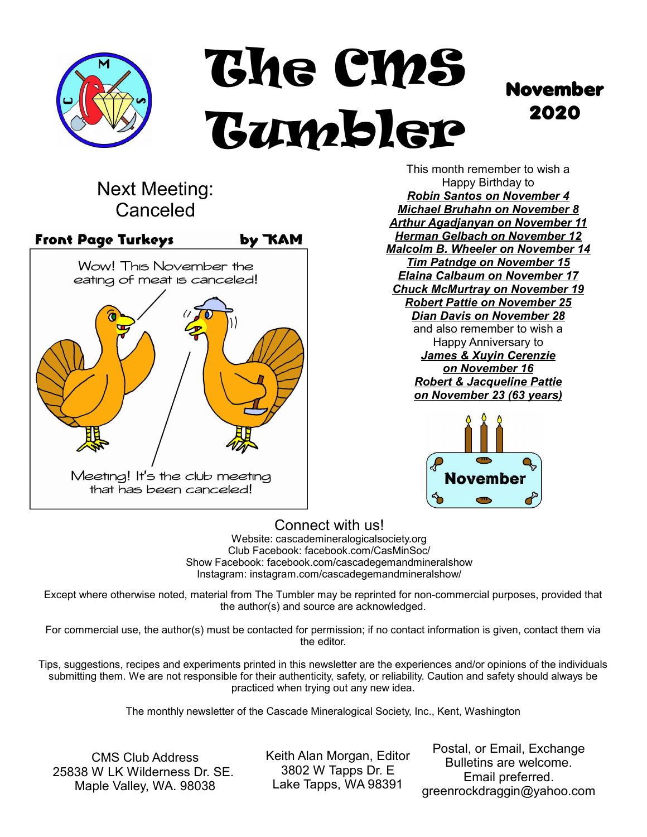

# The CMS Tumbler

## November 2020

## Next Meeting: Canceled

# by **KAM Front Page Turkeys** Wow! This November the eating of meat is canceled! Meeting! It's the club meeting that has been canceled!

This month remember to wish a Happy Birthday to *Robin Santos on November 4 Michael Bruhahn on November 8 Arthur Agadjanyan on November 11 Herman Gelbach on November 12 Malcolm B. Wheeler on November 14 Tim Patndge on November 15 Elaina Calbaum on November 17 Chuck McMurtray on November 19 Robert Pattie on November 25 Dian Davis on November 28* and also remember to wish a Happy Anniversary to *James & Xuyin Cerenzie on November 16 Robert & Jacqueline Pattie*



*on November 23 (63 years)*

## Connect with us!

Website: cascademineralogicalsociety.org Club Facebook: facebook.com/CasMinSoc/ Show Facebook: facebook.com/cascadegemandmineralshow Instagram: instagram.com/cascadegemandmineralshow/

Except where otherwise noted, material from The Tumbler may be reprinted for non-commercial purposes, provided that the author(s) and source are acknowledged.

For commercial use, the author(s) must be contacted for permission; if no contact information is given, contact them via the editor.

Tips, suggestions, recipes and experiments printed in this newsletter are the experiences and/or opinions of the individuals submitting them. We are not responsible for their authenticity, safety, or reliability. Caution and safety should always be practiced when trying out any new idea.

The monthly newsletter of the Cascade Mineralogical Society, Inc., Kent, Washington

CMS Club Address 25838 W LK Wilderness Dr. SE. Maple Valley, WA. 98038

Keith Alan Morgan, Editor 3802 W Tapps Dr. E Lake Tapps, WA 98391

Postal, or Email, Exchange Bulletins are welcome. Email preferred. greenrockdraggin@yahoo.com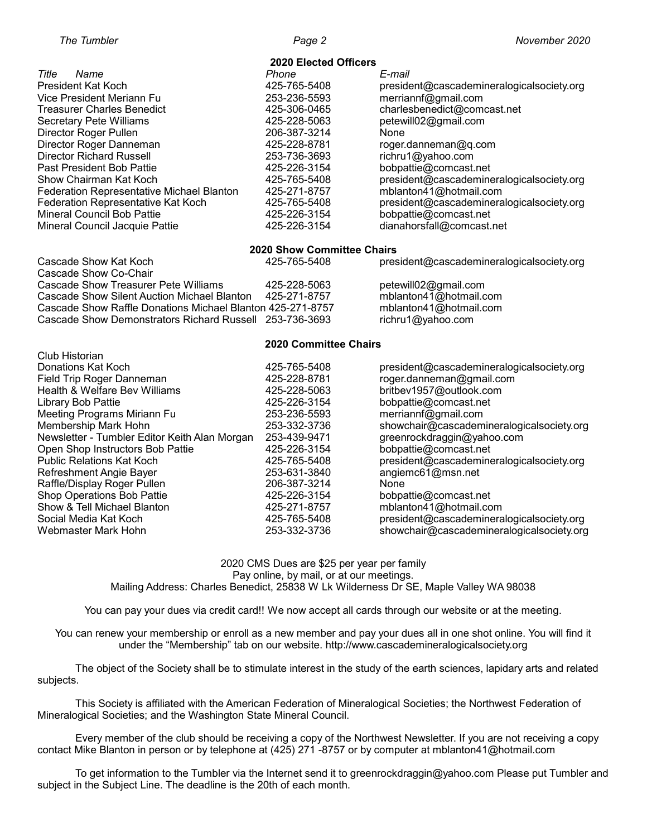| <b>2020 Elected Officers</b>                     |              |                                           |  |  |  |  |  |
|--------------------------------------------------|--------------|-------------------------------------------|--|--|--|--|--|
| Title<br>Name                                    | Phone        | E-mail                                    |  |  |  |  |  |
| President Kat Koch                               | 425-765-5408 | president@cascademineralogicalsociety.org |  |  |  |  |  |
| Vice President Meriann Fu                        | 253-236-5593 | merriannf@gmail.com                       |  |  |  |  |  |
| <b>Treasurer Charles Benedict</b>                | 425-306-0465 | charlesbenedict@comcast.net               |  |  |  |  |  |
| Secretary Pete Williams                          | 425-228-5063 | petewill02@gmail.com                      |  |  |  |  |  |
| Director Roger Pullen                            | 206-387-3214 | None                                      |  |  |  |  |  |
| Director Roger Danneman                          | 425-228-8781 | roger.danneman@q.com                      |  |  |  |  |  |
| <b>Director Richard Russell</b>                  | 253-736-3693 | richru1@yahoo.com                         |  |  |  |  |  |
| Past President Bob Pattie                        | 425-226-3154 | bobpattie@comcast.net                     |  |  |  |  |  |
| Show Chairman Kat Koch                           | 425-765-5408 | president@cascademineralogicalsociety.org |  |  |  |  |  |
| <b>Federation Representative Michael Blanton</b> | 425-271-8757 | mblanton41@hotmail.com                    |  |  |  |  |  |
| Federation Representative Kat Koch               | 425-765-5408 | president@cascademineralogicalsociety.org |  |  |  |  |  |
| Mineral Council Bob Pattie                       | 425-226-3154 | bobpattie@comcast.net                     |  |  |  |  |  |
| Mineral Council Jacquie Pattie                   | 425-226-3154 | dianahorsfall@comcast.net                 |  |  |  |  |  |

#### **2020 Show Committee Chairs**

| Cascade Show Kat Koch                                      | 425-765-5408 | president@cascademineralogicalsociety.org |
|------------------------------------------------------------|--------------|-------------------------------------------|
| Cascade Show Co-Chair                                      |              |                                           |
| Cascade Show Treasurer Pete Williams                       | 425-228-5063 | petewill02@gmail.com                      |
| Cascade Show Silent Auction Michael Blanton                | 425-271-8757 | mblanton41@hotmail.com                    |
| Cascade Show Raffle Donations Michael Blanton 425-271-8757 |              | mblanton41@hotmail.com                    |
| Cascade Show Demonstrators Richard Russell 253-736-3693    |              | richru1@yahoo.com                         |

#### **2020 Committee Chairs**

| Club Historian                                |              |                                           |
|-----------------------------------------------|--------------|-------------------------------------------|
| Donations Kat Koch                            | 425-765-5408 | president@cascademineralogicalsociety.org |
| Field Trip Roger Danneman                     | 425-228-8781 | roger.danneman@gmail.com                  |
| Health & Welfare Bev Williams                 | 425-228-5063 | britbev1957@outlook.com                   |
| Library Bob Pattie                            | 425-226-3154 | bobpattie@comcast.net                     |
| Meeting Programs Miriann Fu                   | 253-236-5593 | merriannf@gmail.com                       |
| Membership Mark Hohn                          | 253-332-3736 | showchair@cascademineralogicalsociety.org |
| Newsletter - Tumbler Editor Keith Alan Morgan | 253-439-9471 | greenrockdraggin@yahoo.com                |
| Open Shop Instructors Bob Pattie              | 425-226-3154 | bobpattie@comcast.net                     |
| <b>Public Relations Kat Koch</b>              | 425-765-5408 | president@cascademineralogicalsociety.org |
| Refreshment Angie Bayer                       | 253-631-3840 | angiemc61@msn.net                         |
| Raffle/Display Roger Pullen                   | 206-387-3214 | None                                      |
| <b>Shop Operations Bob Pattie</b>             | 425-226-3154 | bobpattie@comcast.net                     |
| Show & Tell Michael Blanton                   | 425-271-8757 | mblanton41@hotmail.com                    |
| Social Media Kat Koch                         | 425-765-5408 | president@cascademineralogicalsociety.org |
| Webmaster Mark Hohn                           | 253-332-3736 | showchair@cascademineralogicalsociety.org |

#### 2020 CMS Dues are \$25 per year per family Pay online, by mail, or at our meetings.

Mailing Address: Charles Benedict, 25838 W Lk Wilderness Dr SE, Maple Valley WA 98038

You can pay your dues via credit card!! We now accept all cards through our website or at the meeting.

You can renew your membership or enroll as a new member and pay your dues all in one shot online. You will find it under the "Membership" tab on our website. http://www.cascademineralogicalsociety.org

The object of the Society shall be to stimulate interest in the study of the earth sciences, lapidary arts and related subjects.

This Society is affiliated with the American Federation of Mineralogical Societies; the Northwest Federation of Mineralogical Societies; and the Washington State Mineral Council.

Every member of the club should be receiving a copy of the Northwest Newsletter. If you are not receiving a copy contact Mike Blanton in person or by telephone at (425) 271 -8757 or by computer at mblanton41@hotmail.com

To get information to the Tumbler via the Internet send it to greenrockdraggin@yahoo.com Please put Tumbler and subject in the Subject Line. The deadline is the 20th of each month.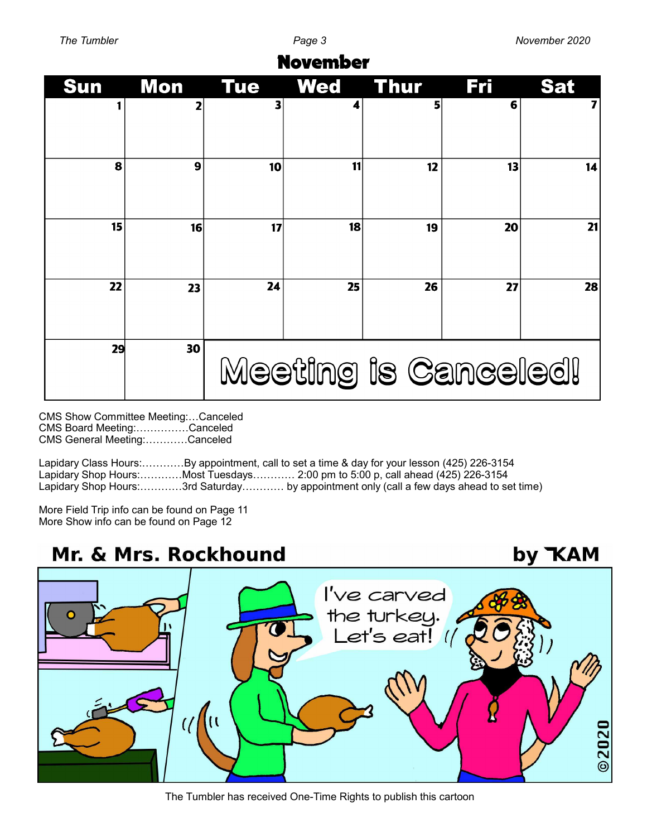### November

| Sun | Mon | <b>Tue</b> | <b>Wed</b> | <b>Thur</b> | I ETT                       | Sat |
|-----|-----|------------|------------|-------------|-----------------------------|-----|
|     | 2   | 3          | 4          | 5           | 6                           |     |
| 8   | 9   | 10         | 11         | 12          | 13                          | 14  |
| 15  | 16  | 17         | 18         | 19          | 20                          | 21  |
| 22  | 23  | 24         | 25         | 26          | 27                          | 28  |
| 29  | 30  |            |            |             | <b>Meeting is Canceled!</b> |     |

CMS Show Committee Meeting:…Canceled CMS Board Meeting:……………Canceled CMS General Meeting:…………Canceled

Lapidary Class Hours:…………By appointment, call to set a time & day for your lesson (425) 226-3154 Lapidary Shop Hours:…………Most Tuesdays………… 2:00 pm to 5:00 p, call ahead (425) 226-3154 Lapidary Shop Hours:…………3rd Saturday………… by appointment only (call a few days ahead to set time)

More Field Trip info can be found on Page 11 More Show info can be found on Page 12

## Mr. & Mrs. Rockhound





The Tumbler has received One-Time Rights to publish this cartoon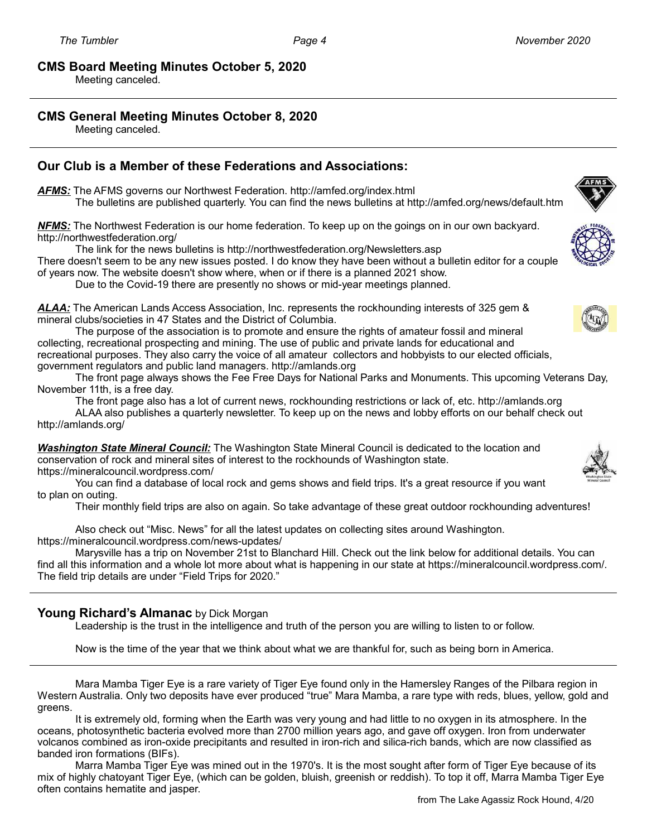#### **CMS Board Meeting Minutes October 5, 2020**

Meeting canceled.

#### **CMS General Meeting Minutes October 8, 2020**

Meeting canceled.

#### **Our Club is a Member of these Federations and Associations:**

*AFMS:* The AFMS governs our Northwest Federation. http://amfed.org/index.html

The bulletins are published quarterly. You can find the news bulletins at http://amfed.org/news/default.htm

*NFMS:* The Northwest Federation is our home federation. To keep up on the goings on in our own backyard. http://northwestfederation.org/

The link for the news bulletins is http://northwestfederation.org/Newsletters.asp

There doesn't seem to be any new issues posted. I do know they have been without a bulletin editor for a couple of years now. The website doesn't show where, when or if there is a planned 2021 show.

Due to the Covid-19 there are presently no shows or mid-year meetings planned.

*ALAA:* The American Lands Access Association, Inc. represents the rockhounding interests of 325 gem & mineral clubs/societies in 47 States and the District of Columbia.

The purpose of the association is to promote and ensure the rights of amateur fossil and mineral collecting, recreational prospecting and mining. The use of public and private lands for educational and recreational purposes. They also carry the voice of all amateur collectors and hobbyists to our elected officials, government regulators and public land managers. http://amlands.org

The front page always shows the Fee Free Days for National Parks and Monuments. This upcoming Veterans Day, November 11th, is a free day.

The front page also has a lot of current news, rockhounding restrictions or lack of, etc. http://amlands.org ALAA also publishes a quarterly newsletter. To keep up on the news and lobby efforts on our behalf check out http://amlands.org/

*Washington State Mineral Council:* The Washington State Mineral Council is dedicated to the location and conservation of rock and mineral sites of interest to the rockhounds of Washington state. https://mineralcouncil.wordpress.com/

You can find a database of local rock and gems shows and field trips. It's a great resource if you want to plan on outing.

Their monthly field trips are also on again. So take advantage of these great outdoor rockhounding adventures!

Also check out "Misc. News" for all the latest updates on collecting sites around Washington. https://mineralcouncil.wordpress.com/news-updates/

Marysville has a trip on November 21st to Blanchard Hill. Check out the link below for additional details. You can find all this information and a whole lot more about what is happening in our state at https://mineralcouncil.wordpress.com/. The field trip details are under "Field Trips for 2020."

#### **Young Richard's Almanac** by Dick Morgan

Leadership is the trust in the intelligence and truth of the person you are willing to listen to or follow.

Now is the time of the year that we think about what we are thankful for, such as being born in America.

Mara Mamba Tiger Eye is a rare variety of Tiger Eye found only in the Hamersley Ranges of the Pilbara region in Western Australia. Only two deposits have ever produced "true" Mara Mamba, a rare type with reds, blues, yellow, gold and greens.

It is extremely old, forming when the Earth was very young and had little to no oxygen in its atmosphere. In the oceans, photosynthetic bacteria evolved more than 2700 million years ago, and gave off oxygen. Iron from underwater volcanos combined as iron-oxide precipitants and resulted in iron-rich and silica-rich bands, which are now classified as banded iron formations (BIFs).

Marra Mamba Tiger Eye was mined out in the 1970's. It is the most sought after form of Tiger Eye because of its mix of highly chatoyant Tiger Eye, (which can be golden, bluish, greenish or reddish). To top it off, Marra Mamba Tiger Eye often contains hematite and jasper.





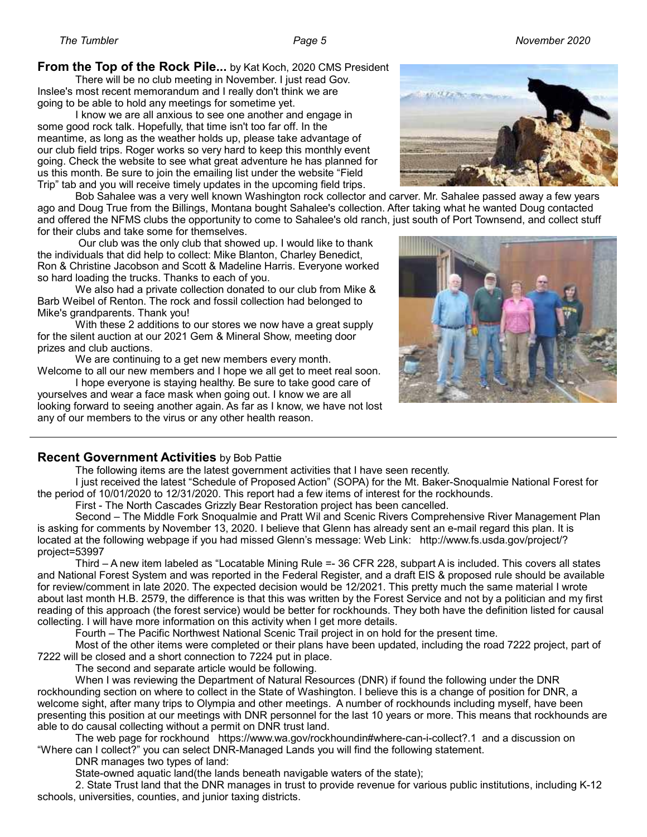#### **From the Top of the Rock Pile...** by Kat Koch, 2020 CMS President

There will be no club meeting in November. I just read Gov. Inslee's most recent memorandum and I really don't think we are going to be able to hold any meetings for sometime yet.

I know we are all anxious to see one another and engage in some good rock talk. Hopefully, that time isn't too far off. In the meantime, as long as the weather holds up, please take advantage of our club field trips. Roger works so very hard to keep this monthly event going. Check the website to see what great adventure he has planned for us this month. Be sure to join the emailing list under the website "Field Trip" tab and you will receive timely updates in the upcoming field trips.

Bob Sahalee was a very well known Washington rock collector and carver. Mr. Sahalee passed away a few years ago and Doug True from the Billings, Montana bought Sahalee's collection. After taking what he wanted Doug contacted and offered the NFMS clubs the opportunity to come to Sahalee's old ranch, just south of Port Townsend, and collect stuff for their clubs and take some for themselves.

Our club was the only club that showed up. I would like to thank the individuals that did help to collect: Mike Blanton, Charley Benedict, Ron & Christine Jacobson and Scott & Madeline Harris. Everyone worked so hard loading the trucks. Thanks to each of you.

We also had a private collection donated to our club from Mike & Barb Weibel of Renton. The rock and fossil collection had belonged to Mike's grandparents. Thank you!

With these 2 additions to our stores we now have a great supply for the silent auction at our 2021 Gem & Mineral Show, meeting door prizes and club auctions.

We are continuing to a get new members every month. Welcome to all our new members and I hope we all get to meet real soon.

I hope everyone is staying healthy. Be sure to take good care of yourselves and wear a face mask when going out. I know we are all looking forward to seeing another again. As far as I know, we have not lost any of our members to the virus or any other health reason.



#### **Recent Government Activities** by Bob Pattie

The following items are the latest government activities that I have seen recently.

I just received the latest "Schedule of Proposed Action" (SOPA) for the Mt. Baker-Snoqualmie National Forest for the period of 10/01/2020 to 12/31/2020. This report had a few items of interest for the rockhounds.

First - The North Cascades Grizzly Bear Restoration project has been cancelled.

Second – The Middle Fork Snoqualmie and Pratt Wil and Scenic Rivers Comprehensive River Management Plan is asking for comments by November 13, 2020. I believe that Glenn has already sent an e-mail regard this plan. It is located at the following webpage if you had missed Glenn's message: Web Link: http://www.fs.usda.gov/project/? project=53997

Third – A new item labeled as "Locatable Mining Rule =- 36 CFR 228, subpart A is included. This covers all states and National Forest System and was reported in the Federal Register, and a draft EIS & proposed rule should be available for review/comment in late 2020. The expected decision would be 12/2021. This pretty much the same material I wrote about last month H.B. 2579, the difference is that this was written by the Forest Service and not by a politician and my first reading of this approach (the forest service) would be better for rockhounds. They both have the definition listed for causal collecting. I will have more information on this activity when I get more details.

Fourth – The Pacific Northwest National Scenic Trail project in on hold for the present time.

Most of the other items were completed or their plans have been updated, including the road 7222 project, part of 7222 will be closed and a short connection to 7224 put in place.

The second and separate article would be following.

When I was reviewing the Department of Natural Resources (DNR) if found the following under the DNR rockhounding section on where to collect in the State of Washington. I believe this is a change of position for DNR, a welcome sight, after many trips to Olympia and other meetings. A number of rockhounds including myself, have been presenting this position at our meetings with DNR personnel for the last 10 years or more. This means that rockhounds are able to do causal collecting without a permit on DNR trust land.

The web page for rockhound https://www.wa.gov/rockhoundin#where-can-i-collect?.1 and a discussion on "Where can I collect?" you can select DNR-Managed Lands you will find the following statement.

DNR manages two types of land:

State-owned aquatic land(the lands beneath navigable waters of the state);

2. State Trust land that the DNR manages in trust to provide revenue for various public institutions, including K-12 schools, universities, counties, and junior taxing districts.

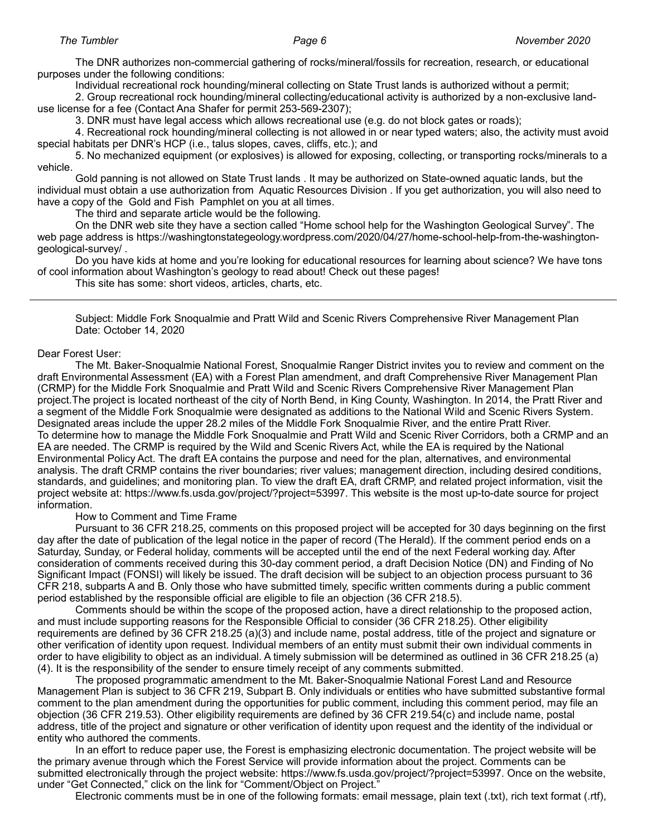The DNR authorizes non-commercial gathering of rocks/mineral/fossils for recreation, research, or educational purposes under the following conditions:

Individual recreational rock hounding/mineral collecting on State Trust lands is authorized without a permit;

2. Group recreational rock hounding/mineral collecting/educational activity is authorized by a non-exclusive landuse license for a fee (Contact Ana Shafer for permit 253-569-2307);

3. DNR must have legal access which allows recreational use (e.g. do not block gates or roads);

4. Recreational rock hounding/mineral collecting is not allowed in or near typed waters; also, the activity must avoid special habitats per DNR's HCP (i.e., talus slopes, caves, cliffs, etc.); and

5. No mechanized equipment (or explosives) is allowed for exposing, collecting, or transporting rocks/minerals to a vehicle.

Gold panning is not allowed on State Trust lands . It may be authorized on State-owned aquatic lands, but the individual must obtain a use authorization from Aquatic Resources Division . If you get authorization, you will also need to have a copy of the Gold and Fish Pamphlet on you at all times.

The third and separate article would be the following.

On the DNR web site they have a section called "Home school help for the Washington Geological Survey". The web page address is https://washingtonstategeology.wordpress.com/2020/04/27/home-school-help-from-the-washingtongeological-survey/ .

Do you have kids at home and you're looking for educational resources for learning about science? We have tons of cool information about Washington's geology to read about! Check out these pages!

This site has some: short videos, articles, charts, etc.

Subject: Middle Fork Snoqualmie and Pratt Wild and Scenic Rivers Comprehensive River Management Plan Date: October 14, 2020

#### Dear Forest User:

The Mt. Baker-Snoqualmie National Forest, Snoqualmie Ranger District invites you to review and comment on the draft Environmental Assessment (EA) with a Forest Plan amendment, and draft Comprehensive River Management Plan (CRMP) for the Middle Fork Snoqualmie and Pratt Wild and Scenic Rivers Comprehensive River Management Plan project.The project is located northeast of the city of North Bend, in King County, Washington. In 2014, the Pratt River and a segment of the Middle Fork Snoqualmie were designated as additions to the National Wild and Scenic Rivers System. Designated areas include the upper 28.2 miles of the Middle Fork Snoqualmie River, and the entire Pratt River. To determine how to manage the Middle Fork Snoqualmie and Pratt Wild and Scenic River Corridors, both a CRMP and an EA are needed. The CRMP is required by the Wild and Scenic Rivers Act, while the EA is required by the National Environmental Policy Act. The draft EA contains the purpose and need for the plan, alternatives, and environmental analysis. The draft CRMP contains the river boundaries; river values; management direction, including desired conditions, standards, and guidelines; and monitoring plan. To view the draft EA, draft CRMP, and related project information, visit the project website at: https://www.fs.usda.gov/project/?project=53997. This website is the most up-to-date source for project information.

#### How to Comment and Time Frame

Pursuant to 36 CFR 218.25, comments on this proposed project will be accepted for 30 days beginning on the first day after the date of publication of the legal notice in the paper of record (The Herald). If the comment period ends on a Saturday, Sunday, or Federal holiday, comments will be accepted until the end of the next Federal working day. After consideration of comments received during this 30-day comment period, a draft Decision Notice (DN) and Finding of No Significant Impact (FONSI) will likely be issued. The draft decision will be subject to an objection process pursuant to 36 CFR 218, subparts A and B. Only those who have submitted timely, specific written comments during a public comment period established by the responsible official are eligible to file an objection (36 CFR 218.5).

Comments should be within the scope of the proposed action, have a direct relationship to the proposed action, and must include supporting reasons for the Responsible Official to consider (36 CFR 218.25). Other eligibility requirements are defined by 36 CFR 218.25 (a)(3) and include name, postal address, title of the project and signature or other verification of identity upon request. Individual members of an entity must submit their own individual comments in order to have eligibility to object as an individual. A timely submission will be determined as outlined in 36 CFR 218.25 (a) (4). It is the responsibility of the sender to ensure timely receipt of any comments submitted.

The proposed programmatic amendment to the Mt. Baker-Snoqualmie National Forest Land and Resource Management Plan is subject to 36 CFR 219, Subpart B. Only individuals or entities who have submitted substantive formal comment to the plan amendment during the opportunities for public comment, including this comment period, may file an objection (36 CFR 219.53). Other eligibility requirements are defined by 36 CFR 219.54(c) and include name, postal address, title of the project and signature or other verification of identity upon request and the identity of the individual or entity who authored the comments.

In an effort to reduce paper use, the Forest is emphasizing electronic documentation. The project website will be the primary avenue through which the Forest Service will provide information about the project. Comments can be submitted electronically through the project website: https://www.fs.usda.gov/project/?project=53997. Once on the website, under "Get Connected," click on the link for "Comment/Object on Project."

Electronic comments must be in one of the following formats: email message, plain text (.txt), rich text format (.rtf),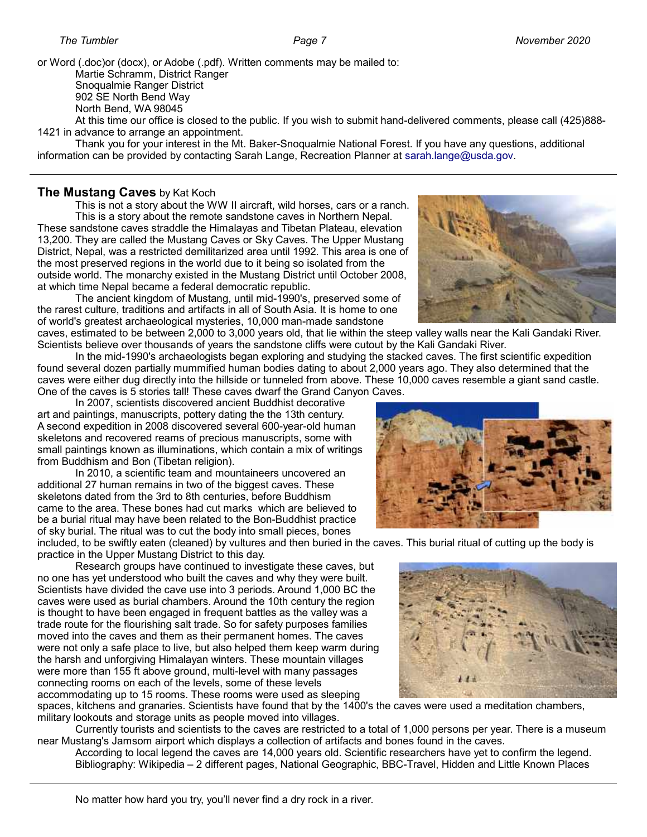or Word (.doc)or (docx), or Adobe (.pdf). Written comments may be mailed to:

Martie Schramm, District Ranger Snoqualmie Ranger District 902 SE North Bend Way North Bend, WA 98045

At this time our office is closed to the public. If you wish to submit hand-delivered comments, please call (425)888- 1421 in advance to arrange an appointment.

Thank you for your interest in the Mt. Baker-Snoqualmie National Forest. If you have any questions, additional information can be provided by contacting Sarah Lange, Recreation Planner at [sarah.lange@usda.gov.](mailto:sarah.lange@usda.gov)

#### **The Mustang Caves** by Kat Koch

This is not a story about the WW II aircraft, wild horses, cars or a ranch. This is a story about the remote sandstone caves in Northern Nepal. These sandstone caves straddle the Himalayas and Tibetan Plateau, elevation 13,200. They are called the Mustang Caves or Sky Caves. The Upper Mustang District, Nepal, was a restricted demilitarized area until 1992. This area is one of the most preserved regions in the world due to it being so isolated from the outside world. The monarchy existed in the Mustang District until October 2008, at which time Nepal became a federal democratic republic.

The ancient kingdom of Mustang, until mid-1990's, preserved some of the rarest culture, traditions and artifacts in all of South Asia. It is home to one of world's greatest archaeological mysteries, 10,000 man-made sandstone

caves, estimated to be between 2,000 to 3,000 years old, that lie within the steep valley walls near the Kali Gandaki River. Scientists believe over thousands of years the sandstone cliffs were cutout by the Kali Gandaki River.

In the mid-1990's archaeologists began exploring and studying the stacked caves. The first scientific expedition found several dozen partially mummified human bodies dating to about 2,000 years ago. They also determined that the caves were either dug directly into the hillside or tunneled from above. These 10,000 caves resemble a giant sand castle. One of the caves is 5 stories tall! These caves dwarf the Grand Canyon Caves.

In 2007, scientists discovered ancient Buddhist decorative art and paintings, manuscripts, pottery dating the the 13th century. A second expedition in 2008 discovered several 600-year-old human skeletons and recovered reams of precious manuscripts, some with small paintings known as illuminations, which contain a mix of writings from Buddhism and Bon (Tibetan religion).

In 2010, a scientific team and mountaineers uncovered an additional 27 human remains in two of the biggest caves. These skeletons dated from the 3rd to 8th centuries, before Buddhism came to the area. These bones had cut marks which are believed to be a burial ritual may have been related to the Bon-Buddhist practice of sky burial. The ritual was to cut the body into small pieces, bones

included, to be swiftly eaten (cleaned) by vultures and then buried in the caves. This burial ritual of cutting up the body is practice in the Upper Mustang District to this day.

Research groups have continued to investigate these caves, but no one has yet understood who built the caves and why they were built. Scientists have divided the cave use into 3 periods. Around 1,000 BC the caves were used as burial chambers. Around the 10th century the region is thought to have been engaged in frequent battles as the valley was a trade route for the flourishing salt trade. So for safety purposes families moved into the caves and them as their permanent homes. The caves were not only a safe place to live, but also helped them keep warm during the harsh and unforgiving Himalayan winters. These mountain villages were more than 155 ft above ground, multi-level with many passages connecting rooms on each of the levels, some of these levels accommodating up to 15 rooms. These rooms were used as sleeping



spaces, kitchens and granaries. Scientists have found that by the 1400's the caves were used a meditation chambers, military lookouts and storage units as people moved into villages.

Currently tourists and scientists to the caves are restricted to a total of 1,000 persons per year. There is a museum near Mustang's Jamsom airport which displays a collection of artifacts and bones found in the caves.

According to local legend the caves are 14,000 years old. Scientific researchers have yet to confirm the legend. Bibliography: Wikipedia – 2 different pages, National Geographic, BBC-Travel, Hidden and Little Known Places



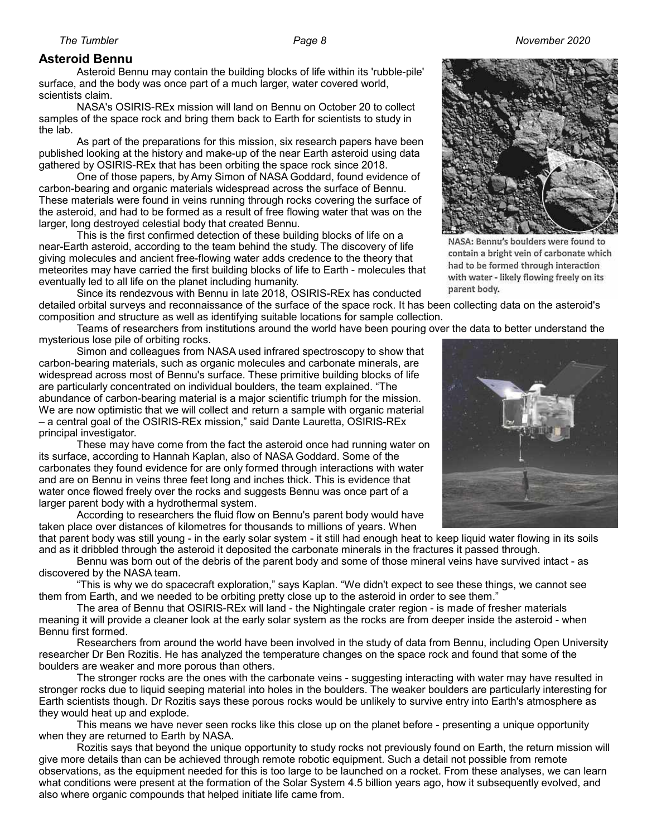*The Tumbler Page 8 November 2020*

#### **Asteroid Bennu**

Asteroid Bennu may contain the building blocks of life within its 'rubble-pile' surface, and the body was once part of a much larger, water covered world, scientists claim.

NASA's OSIRIS-REx mission will land on Bennu on October 20 to collect samples of the space rock and bring them back to Earth for scientists to study in the lab.

As part of the preparations for this mission, six research papers have been published looking at the history and make-up of the near Earth asteroid using data gathered by OSIRIS-REx that has been orbiting the space rock since 2018.

One of those papers, by Amy Simon of NASA Goddard, found evidence of carbon-bearing and organic materials widespread across the surface of Bennu. These materials were found in veins running through rocks covering the surface of the asteroid, and had to be formed as a result of free flowing water that was on the larger, long destroyed celestial body that created Bennu.

This is the first confirmed detection of these building blocks of life on a near-Earth asteroid, according to the team behind the study. The discovery of life giving molecules and ancient free-flowing water adds credence to the theory that meteorites may have carried the first building blocks of life to Earth - molecules that eventually led to all life on the planet including humanity.

Since its rendezvous with Bennu in late 2018, OSIRIS-REx has conducted detailed orbital surveys and reconnaissance of the surface of the space rock. It has been collecting data on the asteroid's composition and structure as well as identifying suitable locations for sample collection.

Teams of researchers from institutions around the world have been pouring over the data to better understand the mysterious lose pile of orbiting rocks.

Simon and colleagues from NASA used infrared spectroscopy to show that carbon-bearing materials, such as organic molecules and carbonate minerals, are widespread across most of Bennu's surface. These primitive building blocks of life are particularly concentrated on individual boulders, the team explained. "The abundance of carbon-bearing material is a major scientific triumph for the mission. We are now optimistic that we will collect and return a sample with organic material – a central goal of the OSIRIS-REx mission," said Dante Lauretta, OSIRIS-REx principal investigator.

These may have come from the fact the asteroid once had running water on its surface, according to Hannah Kaplan, also of NASA Goddard. Some of the carbonates they found evidence for are only formed through interactions with water and are on Bennu in veins three feet long and inches thick. This is evidence that water once flowed freely over the rocks and suggests Bennu was once part of a larger parent body with a hydrothermal system.

According to researchers the fluid flow on Bennu's parent body would have taken place over distances of kilometres for thousands to millions of years. When

that parent body was still young - in the early solar system - it still had enough heat to keep liquid water flowing in its soils and as it dribbled through the asteroid it deposited the carbonate minerals in the fractures it passed through.

Bennu was born out of the debris of the parent body and some of those mineral veins have survived intact - as discovered by the NASA team.

"This is why we do spacecraft exploration," says Kaplan. "We didn't expect to see these things, we cannot see them from Earth, and we needed to be orbiting pretty close up to the asteroid in order to see them."

The area of Bennu that OSIRIS-REx will land - the Nightingale crater region - is made of fresher materials meaning it will provide a cleaner look at the early solar system as the rocks are from deeper inside the asteroid - when Bennu first formed.

Researchers from around the world have been involved in the study of data from Bennu, including Open University researcher Dr Ben Rozitis. He has analyzed the temperature changes on the space rock and found that some of the boulders are weaker and more porous than others.

The stronger rocks are the ones with the carbonate veins - suggesting interacting with water may have resulted in stronger rocks due to liquid seeping material into holes in the boulders. The weaker boulders are particularly interesting for Earth scientists though. Dr Rozitis says these porous rocks would be unlikely to survive entry into Earth's atmosphere as they would heat up and explode.

This means we have never seen rocks like this close up on the planet before - presenting a unique opportunity when they are returned to Earth by NASA.

Rozitis says that beyond the unique opportunity to study rocks not previously found on Earth, the return mission will give more details than can be achieved through remote robotic equipment. Such a detail not possible from remote observations, as the equipment needed for this is too large to be launched on a rocket. From these analyses, we can learn what conditions were present at the formation of the Solar System 4.5 billion years ago, how it subsequently evolved, and also where organic compounds that helped initiate life came from.



NASA: Bennu's boulders were found to contain a bright vein of carbonate which had to be formed through interaction with water - likely flowing freely on its parent body.

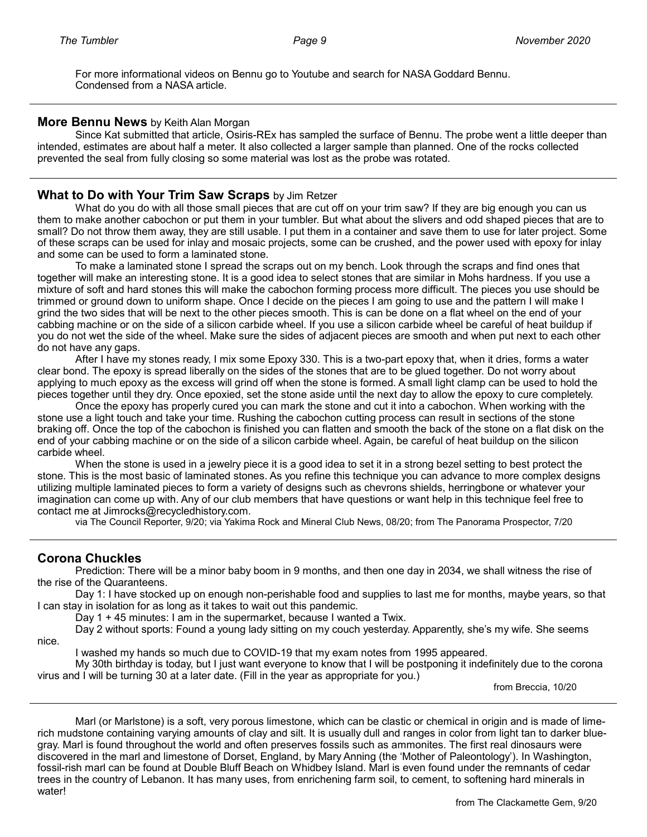For more informational videos on Bennu go to Youtube and search for NASA Goddard Bennu. Condensed from a NASA article.

#### **More Bennu News** by Keith Alan Morgan

Since Kat submitted that article, Osiris-REx has sampled the surface of Bennu. The probe went a little deeper than intended, estimates are about half a meter. It also collected a larger sample than planned. One of the rocks collected prevented the seal from fully closing so some material was lost as the probe was rotated.

#### **What to Do with Your Trim Saw Scraps** by Jim Retzer

What do you do with all those small pieces that are cut off on your trim saw? If they are big enough you can us them to make another cabochon or put them in your tumbler. But what about the slivers and odd shaped pieces that are to small? Do not throw them away, they are still usable. I put them in a container and save them to use for later project. Some of these scraps can be used for inlay and mosaic projects, some can be crushed, and the power used with epoxy for inlay and some can be used to form a laminated stone.

To make a laminated stone I spread the scraps out on my bench. Look through the scraps and find ones that together will make an interesting stone. It is a good idea to select stones that are similar in Mohs hardness. If you use a mixture of soft and hard stones this will make the cabochon forming process more difficult. The pieces you use should be trimmed or ground down to uniform shape. Once I decide on the pieces I am going to use and the pattern I will make I grind the two sides that will be next to the other pieces smooth. This is can be done on a flat wheel on the end of your cabbing machine or on the side of a silicon carbide wheel. If you use a silicon carbide wheel be careful of heat buildup if you do not wet the side of the wheel. Make sure the sides of adjacent pieces are smooth and when put next to each other do not have any gaps.

After I have my stones ready, I mix some Epoxy 330. This is a two-part epoxy that, when it dries, forms a water clear bond. The epoxy is spread liberally on the sides of the stones that are to be glued together. Do not worry about applying to much epoxy as the excess will grind off when the stone is formed. A small light clamp can be used to hold the pieces together until they dry. Once epoxied, set the stone aside until the next day to allow the epoxy to cure completely.

Once the epoxy has properly cured you can mark the stone and cut it into a cabochon. When working with the stone use a light touch and take your time. Rushing the cabochon cutting process can result in sections of the stone braking off. Once the top of the cabochon is finished you can flatten and smooth the back of the stone on a flat disk on the end of your cabbing machine or on the side of a silicon carbide wheel. Again, be careful of heat buildup on the silicon carbide wheel.

When the stone is used in a jewelry piece it is a good idea to set it in a strong bezel setting to best protect the stone. This is the most basic of laminated stones. As you refine this technique you can advance to more complex designs utilizing multiple laminated pieces to form a variety of designs such as chevrons shields, herringbone or whatever your imagination can come up with. Any of our club members that have questions or want help in this technique feel free to contact me at Jimrocks@recycledhistory.com.

via The Council Reporter, 9/20; via Yakima Rock and Mineral Club News, 08/20; from The Panorama Prospector, 7/20

#### **Corona Chuckles**

Prediction: There will be a minor baby boom in 9 months, and then one day in 2034, we shall witness the rise of the rise of the Quaranteens.

Day 1: I have stocked up on enough non-perishable food and supplies to last me for months, maybe years, so that I can stay in isolation for as long as it takes to wait out this pandemic.

Day 1 + 45 minutes: I am in the supermarket, because I wanted a Twix.

Day 2 without sports: Found a young lady sitting on my couch yesterday. Apparently, she's my wife. She seems nice.

I washed my hands so much due to COVID-19 that my exam notes from 1995 appeared.

My 30th birthday is today, but I just want everyone to know that I will be postponing it indefinitely due to the corona virus and I will be turning 30 at a later date. (Fill in the year as appropriate for you.)

from Breccia, 10/20

Marl (or Marlstone) is a soft, very porous limestone, which can be clastic or chemical in origin and is made of limerich mudstone containing varying amounts of clay and silt. It is usually dull and ranges in color from light tan to darker bluegray. Marl is found throughout the world and often preserves fossils such as ammonites. The first real dinosaurs were discovered in the marl and limestone of Dorset, England, by Mary Anning (the 'Mother of Paleontology'). In Washington, fossil-rish marl can be found at Double Bluff Beach on Whidbey Island. Marl is even found under the remnants of cedar trees in the country of Lebanon. It has many uses, from enrichening farm soil, to cement, to softening hard minerals in water!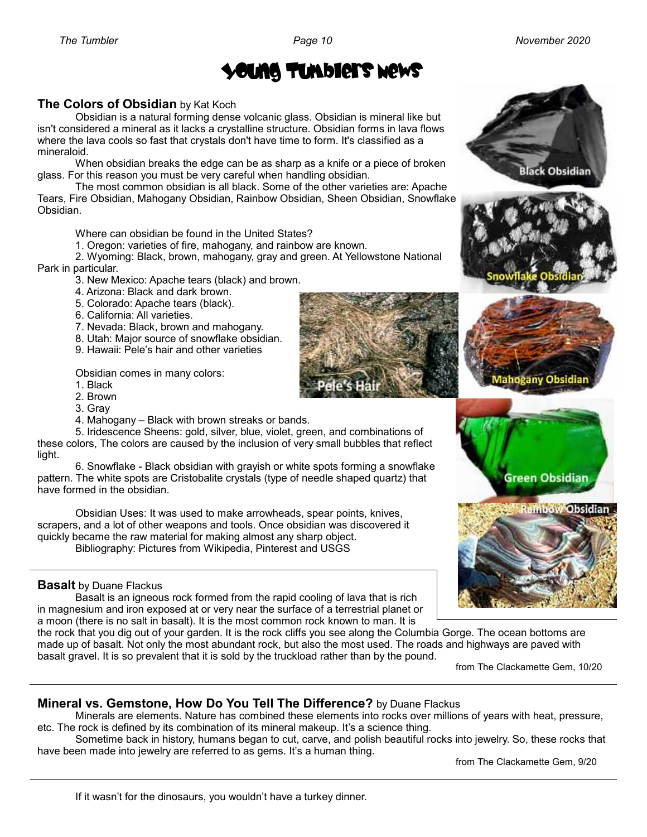## Young Tumblers News

### **The Colors of Obsidian** by Kat Koch

Obsidian is a natural forming dense volcanic glass. Obsidian is mineral like but isn't considered a mineral as it lacks a crystalline structure. Obsidian forms in lava flows where the lava cools so fast that crystals don't have time to form. It's classified as a mineraloid.

When obsidian breaks the edge can be as sharp as a knife or a piece of broken glass. For this reason you must be very careful when handling obsidian.

The most common obsidian is all black. Some of the other varieties are: Apache Tears, Fire Obsidian, Mahogany Obsidian, Rainbow Obsidian, Sheen Obsidian, Snowflake Obsidian.

Where can obsidian be found in the United States?

1. Oregon: varieties of fire, mahogany, and rainbow are known.

2. Wyoming: Black, brown, mahogany, gray and green. At Yellowstone National Park in particular.

3. New Mexico: Apache tears (black) and brown.

- 4. Arizona: Black and dark brown.
- 5. Colorado: Apache tears (black).
- 6. California: All varieties.
- 7. Nevada: Black, brown and mahogany.
- 8. Utah: Major source of snowflake obsidian.
- 9. Hawaii: Pele's hair and other varieties

Obsidian comes in many colors:

- 1. Black
- 2. Brown
- 3. Gray
- 4. Mahogany Black with brown streaks or bands.

5. Iridescence Sheens: gold, silver, blue, violet, green, and combinations of these colors, The colors are caused by the inclusion of very small bubbles that reflect light.

6. Snowflake - Black obsidian with grayish or white spots forming a snowflake pattern. The white spots are Cristobalite crystals (type of needle shaped quartz) that have formed in the obsidian.

Obsidian Uses: It was used to make arrowheads, spear points, knives, scrapers, and a lot of other weapons and tools. Once obsidian was discovered it quickly became the raw material for making almost any sharp object. Bibliography: Pictures from Wikipedia, Pinterest and USGS

**Basalt** by Duane Flackus

Basalt is an igneous rock formed from the rapid cooling of lava that is rich in magnesium and iron exposed at or very near the surface of a terrestrial planet or a moon (there is no salt in basalt). It is the most common rock known to man. It is

the rock that you dig out of your garden. It is the rock cliffs you see along the Columbia Gorge. The ocean bottoms are made up of basalt. Not only the most abundant rock, but also the most used. The roads and highways are paved with basalt gravel. It is so prevalent that it is sold by the truckload rather than by the pound.

from The Clackamette Gem, 10/20

#### **Mineral vs. Gemstone, How Do You Tell The Difference?** by Duane Flackus

Minerals are elements. Nature has combined these elements into rocks over millions of years with heat, pressure, etc. The rock is defined by its combination of its mineral makeup. It's a science thing.

Sometime back in history, humans began to cut, carve, and polish beautiful rocks into jewelry. So, these rocks that have been made into jewelry are referred to as gems. It's a human thing.

from The Clackamette Gem, 9/20









**Aahogany Obsidia** 

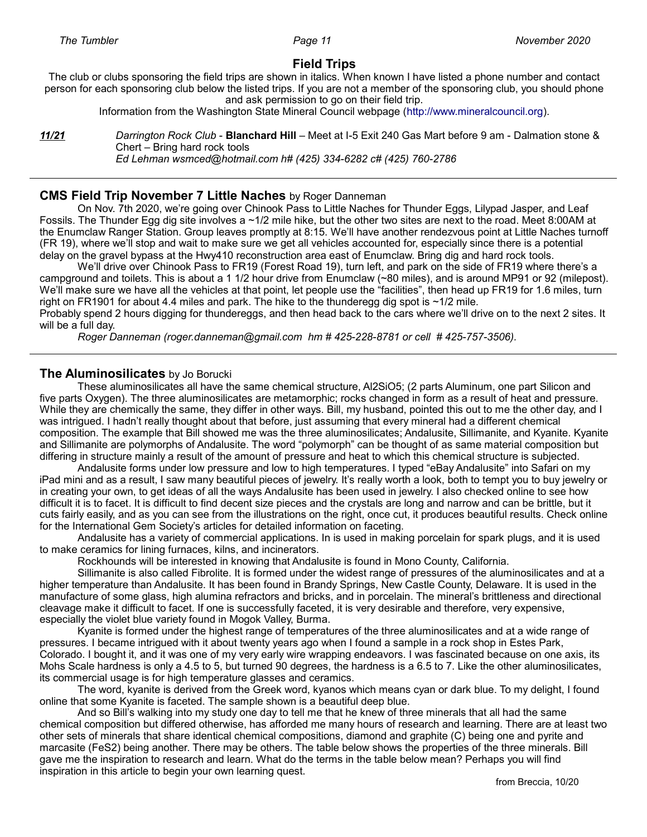#### **Field Trips**

The club or clubs sponsoring the field trips are shown in italics. When known I have listed a phone number and contact person for each sponsoring club below the listed trips. If you are not a member of the sponsoring club, you should phone and ask permission to go on their field trip.

Information from the Washington State Mineral Council webpage ([http://www.mineralcouncil.org\)](http://www.mineralcouncil.org/).

*11/21 Darrington Rock Club* - **Blanchard Hill** – Meet at I-5 Exit 240 Gas Mart before 9 am - Dalmation stone & Chert – Bring hard rock tools *Ed Lehman wsmced@hotmail.com h# (425) 334-6282 c# (425) 760-2786*

#### **CMS Field Trip November 7 Little Naches** by Roger Danneman

On Nov. 7th 2020, we're going over Chinook Pass to Little Naches for Thunder Eggs, Lilypad Jasper, and Leaf Fossils. The Thunder Egg dig site involves a ~1/2 mile hike, but the other two sites are next to the road. Meet 8:00AM at the Enumclaw Ranger Station. Group leaves promptly at 8:15. We'll have another rendezvous point at Little Naches turnoff (FR 19), where we'll stop and wait to make sure we get all vehicles accounted for, especially since there is a potential delay on the gravel bypass at the Hwy410 reconstruction area east of Enumclaw. Bring dig and hard rock tools.

We'll drive over Chinook Pass to FR19 (Forest Road 19), turn left, and park on the side of FR19 where there's a campground and toilets. This is about a 1 1/2 hour drive from Enumclaw (~80 miles), and is around MP91 or 92 (milepost). We'll make sure we have all the vehicles at that point, let people use the "facilities", then head up FR19 for 1.6 miles, turn right on FR1901 for about 4.4 miles and park. The hike to the thunderegg dig spot is ~1/2 mile.

Probably spend 2 hours digging for thundereggs, and then head back to the cars where we'll drive on to the next 2 sites. It will be a full day.

*Roger Danneman (roger.danneman@gmail.com hm # 425-228-8781 or cell # 425-757-3506).*

#### **The Aluminosilicates** by Jo Borucki

These aluminosilicates all have the same chemical structure, Al2SiO5; (2 parts Aluminum, one part Silicon and five parts Oxygen). The three aluminosilicates are metamorphic; rocks changed in form as a result of heat and pressure. While they are chemically the same, they differ in other ways. Bill, my husband, pointed this out to me the other day, and I was intrigued. I hadn't really thought about that before, just assuming that every mineral had a different chemical composition. The example that Bill showed me was the three aluminosilicates; Andalusite, Sillimanite, and Kyanite. Kyanite and Sillimanite are polymorphs of Andalusite. The word "polymorph" can be thought of as same material composition but differing in structure mainly a result of the amount of pressure and heat to which this chemical structure is subjected.

Andalusite forms under low pressure and low to high temperatures. I typed "eBay Andalusite" into Safari on my iPad mini and as a result, I saw many beautiful pieces of jewelry. It's really worth a look, both to tempt you to buy jewelry or in creating your own, to get ideas of all the ways Andalusite has been used in jewelry. I also checked online to see how difficult it is to facet. It is difficult to find decent size pieces and the crystals are long and narrow and can be brittle, but it cuts fairly easily, and as you can see from the illustrations on the right, once cut, it produces beautiful results. Check online for the International Gem Society's articles for detailed information on faceting.

Andalusite has a variety of commercial applications. In is used in making porcelain for spark plugs, and it is used to make ceramics for lining furnaces, kilns, and incinerators.

Rockhounds will be interested in knowing that Andalusite is found in Mono County, California.

Sillimanite is also called Fibrolite. It is formed under the widest range of pressures of the aluminosilicates and at a higher temperature than Andalusite. It has been found in Brandy Springs, New Castle County, Delaware. It is used in the manufacture of some glass, high alumina refractors and bricks, and in porcelain. The mineral's brittleness and directional cleavage make it difficult to facet. If one is successfully faceted, it is very desirable and therefore, very expensive, especially the violet blue variety found in Mogok Valley, Burma.

Kyanite is formed under the highest range of temperatures of the three aluminosilicates and at a wide range of pressures. I became intrigued with it about twenty years ago when I found a sample in a rock shop in Estes Park, Colorado. I bought it, and it was one of my very early wire wrapping endeavors. I was fascinated because on one axis, its Mohs Scale hardness is only a 4.5 to 5, but turned 90 degrees, the hardness is a 6.5 to 7. Like the other aluminosilicates, its commercial usage is for high temperature glasses and ceramics.

The word, kyanite is derived from the Greek word, kyanos which means cyan or dark blue. To my delight, I found online that some Kyanite is faceted. The sample shown is a beautiful deep blue.

And so Bill's walking into my study one day to tell me that he knew of three minerals that all had the same chemical composition but differed otherwise, has afforded me many hours of research and learning. There are at least two other sets of minerals that share identical chemical compositions, diamond and graphite (C) being one and pyrite and marcasite (FeS2) being another. There may be others. The table below shows the properties of the three minerals. Bill gave me the inspiration to research and learn. What do the terms in the table below mean? Perhaps you will find inspiration in this article to begin your own learning quest.